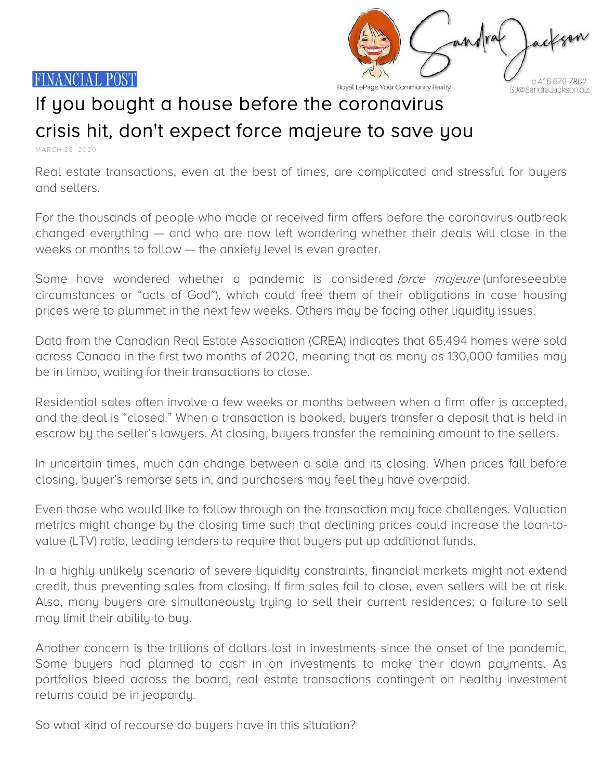



Royal LePage Your Community Realty

S. J@Sandra, Jackson biz

## If you bought a house before the coronavirus crisis hit, don't expect force majeure to save you

MARCH 28, 2020

Real estate transactions, even at the best of times, are complicated and stressful for buyers and sellers.

For the thousands of people who made or received firm offers before the coronavirus outbreak changed everything — and who are now left wondering whether their deals will close in the weeks or months to follow — the anxiety level is even greater.

Some have wondered whether a pandemic is considered force majeure (unforeseeable circumstances or "acts of God"), which could free them of their obligations in case housing prices were to plummet in the next few weeks. Others may be facing other liquidity issues.

Data from the Canadian Real Estate Association (CREA) indicates that 65,494 homes were sold across Canada in the first two months of 2020, meaning that as many as 130,000 families may be in limbo, waiting for their transactions to close.

Residential sales often involve a few weeks or months between when a firm offer is accepted, and the deal is "closed." When a transaction is booked, buyers transfer a deposit that is held in escrow by the seller's lawyers. At closing, buyers transfer the remaining amount to the sellers.

In uncertain times, much can change between a sale and its closing. When prices fall before closing, buyer's remorse sets in, and purchasers may feel they have overpaid.

Even those who would like to follow through on the transaction may face challenges. Valuation metrics might change by the closing time such that declining prices could increase the loan-tovalue (LTV) ratio, leading lenders to require that buyers put up additional funds.

In a highly unlikely scenario of severe liquidity constraints, financial markets might not extend credit, thus preventing sales from closing. If firm sales fail to close, even sellers will be at risk. Also, many buyers are simultaneously trying to sell their current residences; a failure to sell may limit their ability to buy.

Another concern is the trillions of dollars lost in investments since the onset of the pandemic. Some buyers had planned to cash in on investments to make their down payments. As portfolios bleed across the board, real estate transactions contingent on healthy investment returns could be in jeopardy.

So what kind of recourse do buyers have in this situation?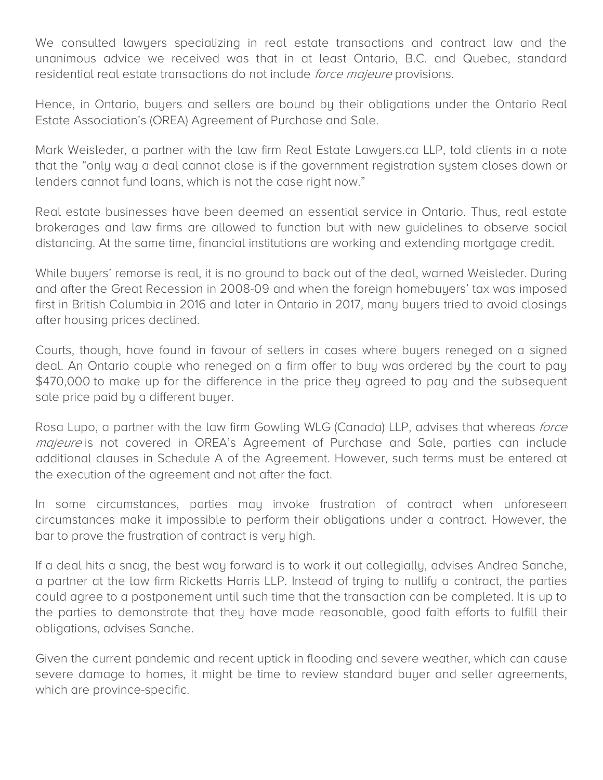We consulted lawyers specializing in real estate transactions and contract law and the unanimous advice we received was that in at least Ontario, B.C. and Quebec, standard residential real estate transactions do not include *force majeure* provisions.

Hence, in Ontario, buyers and sellers are bound by their obligations under the Ontario Real Estate Association's (OREA) Agreement of Purchase and Sale.

Mark Weisleder, a partner with the law firm Real Estate Lawyers.ca LLP, told clients in a note that the "only way a deal cannot close is if the government registration system closes down or lenders cannot fund loans, which is not the case right now."

Real estate businesses have been deemed an essential service in Ontario. Thus, real estate brokerages and law firms are allowed to function but with new guidelines to observe social distancing. At the same time, financial institutions are working and extending mortgage credit.

While buyers' remorse is real, it is no ground to back out of the deal, warned Weisleder. During and after the Great Recession in 2008-09 and when the foreign homebuyers' tax was imposed first in British Columbia in 2016 and later in Ontario in 2017, many buyers tried to avoid closings after housing prices declined.

Courts, though, have found in favour of sellers in cases where buyers reneged on a signed deal. An Ontario couple who reneged on a firm offer to buy was ordered by the court to pay \$470,000 to make up for the difference in the price they agreed to pay and the subsequent sale price paid by a different buyer.

Rosa Lupo, a partner with the law firm Gowling WLG (Canada) LLP, advises that whereas *force* majeure is not covered in OREA's Agreement of Purchase and Sale, parties can include additional clauses in Schedule A of the Agreement. However, such terms must be entered at the execution of the agreement and not after the fact.

In some circumstances, parties may invoke frustration of contract when unforeseen circumstances make it impossible to perform their obligations under a contract. However, the bar to prove the frustration of contract is very high.

If a deal hits a snag, the best way forward is to work it out collegially, advises Andrea Sanche, a partner at the law firm Ricketts Harris LLP. Instead of trying to nullify a contract, the parties could agree to a postponement until such time that the transaction can be completed. It is up to the parties to demonstrate that they have made reasonable, good faith efforts to fulfill their obligations, advises Sanche.

Given the current pandemic and recent uptick in flooding and severe weather, which can cause severe damage to homes, it might be time to review standard buyer and seller agreements, which are province-specific.